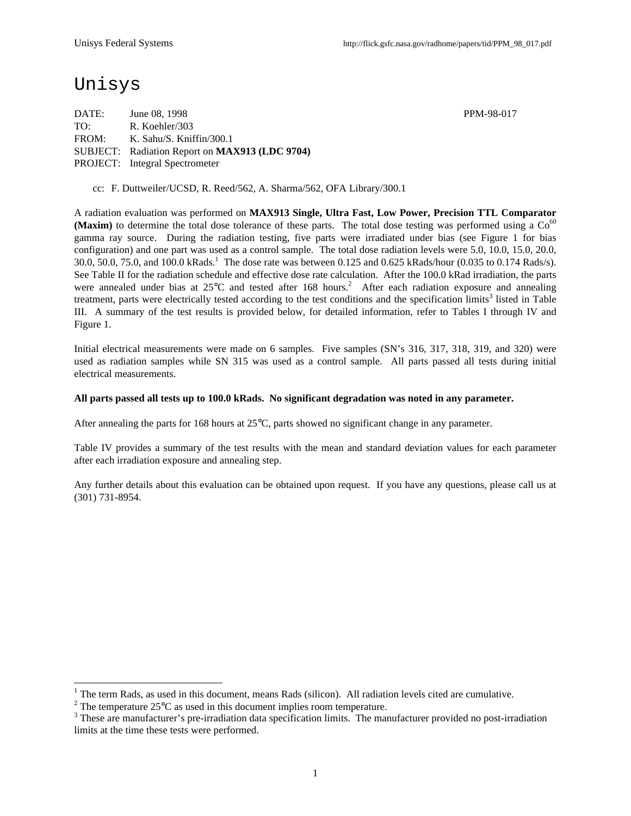## Unisys

-

DATE: June 08, 1998 PPM-98-017 TO: R. Koehler/303 FROM: K. Sahu/S. Kniffin/300.1 SUBJECT: Radiation Report on **MAX913 (LDC 9704)** PROJECT: Integral Spectrometer

cc: F. Duttweiler/UCSD, R. Reed/562, A. Sharma/562, OFA Library/300.1

A radiation evaluation was performed on **MAX913 Single, Ultra Fast, Low Power, Precision TTL Comparator (Maxim)** to determine the total dose tolerance of these parts. The total dose testing was performed using a  $Co<sup>60</sup>$ gamma ray source. During the radiation testing, five parts were irradiated under bias (see Figure 1 for bias configuration) and one part was used as a control sample. The total dose radiation levels were 5.0, 10.0, 15.0, 20.0, 30.0, 50.0, 75.0, and 100.0 kRads.<sup>1</sup> The dose rate was between 0.125 and 0.625 kRads/hour (0.035 to 0.174 Rads/s). See Table II for the radiation schedule and effective dose rate calculation. After the 100.0 kRad irradiation, the parts were annealed under bias at 25°C and tested after 168 hours.<sup>2</sup> After each radiation exposure and annealing treatment, parts were electrically tested according to the test conditions and the specification limits<sup>3</sup> listed in Table III. A summary of the test results is provided below, for detailed information, refer to Tables I through IV and Figure 1.

Initial electrical measurements were made on 6 samples. Five samples (SN's 316, 317, 318, 319, and 320) were used as radiation samples while SN 315 was used as a control sample. All parts passed all tests during initial electrical measurements.

#### **All parts passed all tests up to 100.0 kRads. No significant degradation was noted in any parameter.**

After annealing the parts for 168 hours at 25°C, parts showed no significant change in any parameter.

Table IV provides a summary of the test results with the mean and standard deviation values for each parameter after each irradiation exposure and annealing step.

Any further details about this evaluation can be obtained upon request. If you have any questions, please call us at (301) 731-8954.

<sup>1</sup> The term Rads, as used in this document, means Rads (silicon). All radiation levels cited are cumulative.

<sup>&</sup>lt;sup>2</sup> The temperature 25 $\rm{°C}$  as used in this document implies room temperature.

 $3$  These are manufacturer's pre-irradiation data specification limits. The manufacturer provided no post-irradiation limits at the time these tests were performed.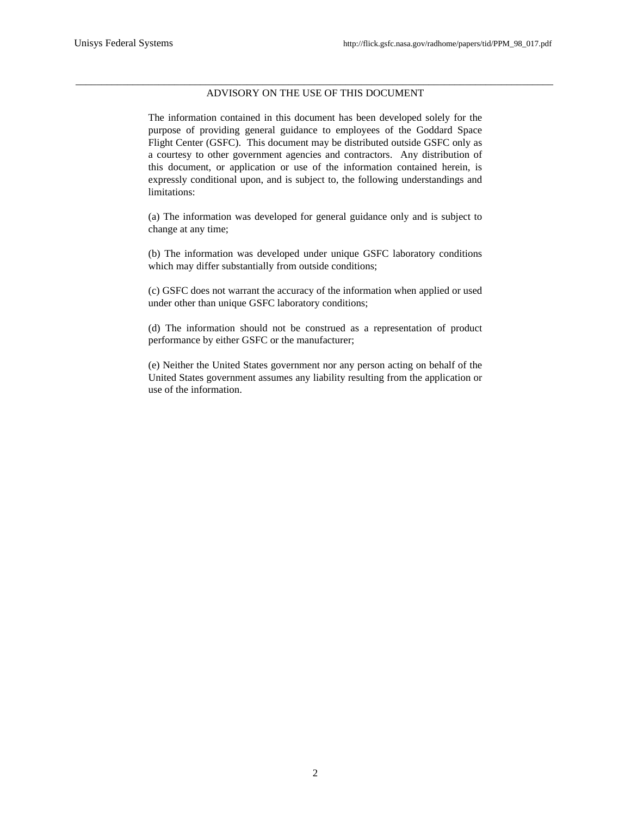#### \_\_\_\_\_\_\_\_\_\_\_\_\_\_\_\_\_\_\_\_\_\_\_\_\_\_\_\_\_\_\_\_\_\_\_\_\_\_\_\_\_\_\_\_\_\_\_\_\_\_\_\_\_\_\_\_\_\_\_\_\_\_\_\_\_\_\_\_\_\_\_\_\_\_\_\_\_\_\_\_\_\_\_\_\_\_\_\_\_\_\_\_ ADVISORY ON THE USE OF THIS DOCUMENT

The information contained in this document has been developed solely for the purpose of providing general guidance to employees of the Goddard Space Flight Center (GSFC). This document may be distributed outside GSFC only as a courtesy to other government agencies and contractors. Any distribution of this document, or application or use of the information contained herein, is expressly conditional upon, and is subject to, the following understandings and limitations:

(a) The information was developed for general guidance only and is subject to change at any time;

(b) The information was developed under unique GSFC laboratory conditions which may differ substantially from outside conditions;

(c) GSFC does not warrant the accuracy of the information when applied or used under other than unique GSFC laboratory conditions;

(d) The information should not be construed as a representation of product performance by either GSFC or the manufacturer;

(e) Neither the United States government nor any person acting on behalf of the United States government assumes any liability resulting from the application or use of the information.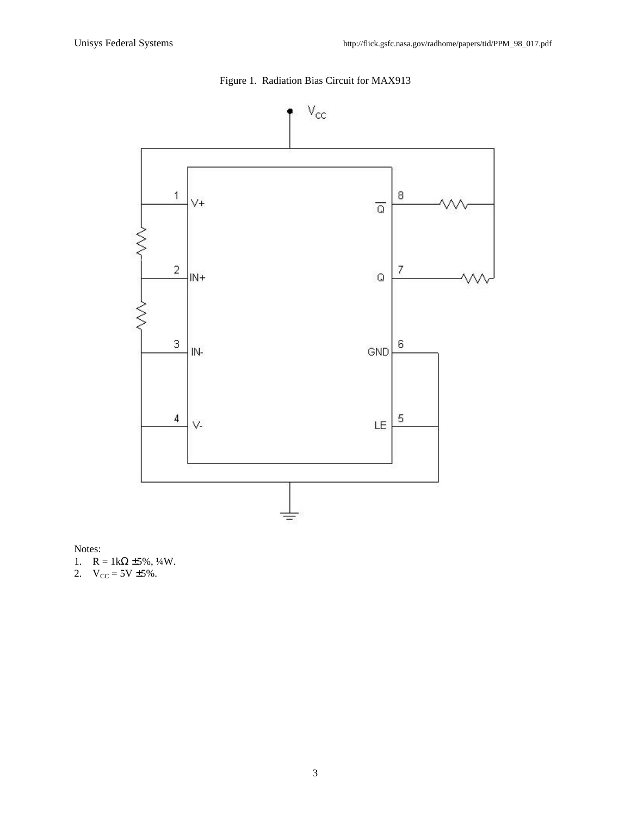

## Figure 1. Radiation Bias Circuit for MAX913

Notes:

- 1.  $R = 1k\Omega \pm 5\%, \frac{1}{4}W$ .
- 2.  $V_{CC} = 5V \pm 5\%$ .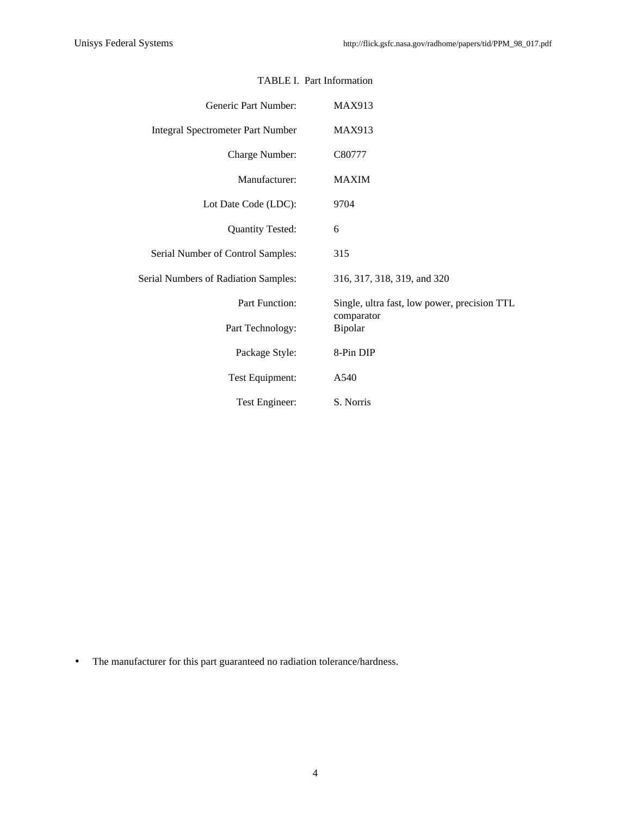| Generic Part Number:                     | <b>MAX913</b>                                |  |  |  |  |  |  |  |  |
|------------------------------------------|----------------------------------------------|--|--|--|--|--|--|--|--|
| <b>Integral Spectrometer Part Number</b> | <b>MAX913</b>                                |  |  |  |  |  |  |  |  |
| Charge Number:                           | C80777                                       |  |  |  |  |  |  |  |  |
| Manufacturer:                            | <b>MAXIM</b>                                 |  |  |  |  |  |  |  |  |
| Lot Date Code (LDC):                     | 9704                                         |  |  |  |  |  |  |  |  |
| <b>Quantity Tested:</b>                  | 6                                            |  |  |  |  |  |  |  |  |
| Serial Number of Control Samples:        | 315                                          |  |  |  |  |  |  |  |  |
| Serial Numbers of Radiation Samples:     | 316, 317, 318, 319, and 320                  |  |  |  |  |  |  |  |  |
| Part Function:                           | Single, ultra fast, low power, precision TTL |  |  |  |  |  |  |  |  |
| Part Technology:                         | comparator<br>Bipolar                        |  |  |  |  |  |  |  |  |
| Package Style:                           | 8-Pin DIP                                    |  |  |  |  |  |  |  |  |
| Test Equipment:                          | A540                                         |  |  |  |  |  |  |  |  |
| Test Engineer:                           | S. Norris                                    |  |  |  |  |  |  |  |  |

### TABLE I. Part Information

• The manufacturer for this part guaranteed no radiation tolerance/hardness.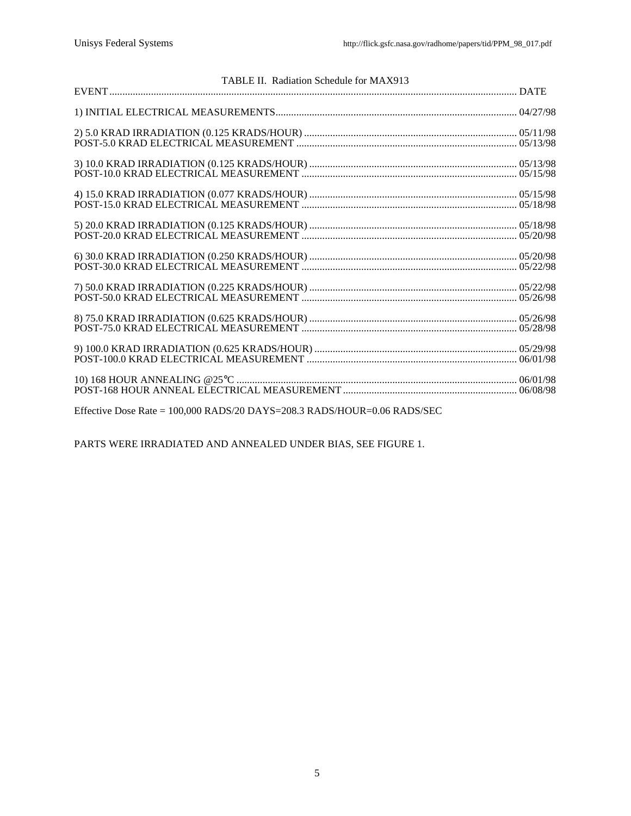| TABLE II. Radiation Schedule for MAX913 |  |
|-----------------------------------------|--|
|                                         |  |
|                                         |  |
|                                         |  |
|                                         |  |
|                                         |  |
|                                         |  |
|                                         |  |
|                                         |  |
|                                         |  |
|                                         |  |

Effective Dose Rate = 100,000 RADS/20 DAYS=208.3 RADS/HOUR=0.06 RADS/SEC

PARTS WERE IRRADIATED AND ANNEALED UNDER BIAS, SEE FIGURE 1.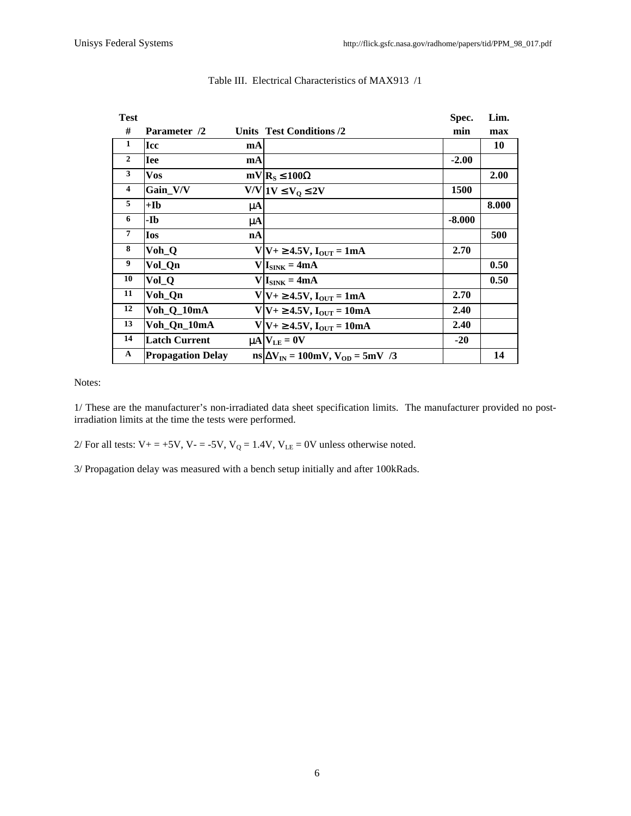|                          |         | Spec.                                                                                                                                                                                                                                                                                                                                                                                | Lim.  |
|--------------------------|---------|--------------------------------------------------------------------------------------------------------------------------------------------------------------------------------------------------------------------------------------------------------------------------------------------------------------------------------------------------------------------------------------|-------|
| Parameter /2             |         | min                                                                                                                                                                                                                                                                                                                                                                                  | max   |
| <b>Icc</b>               | mA      |                                                                                                                                                                                                                                                                                                                                                                                      | 10    |
| <b>Iee</b>               | mA      | $-2.00$                                                                                                                                                                                                                                                                                                                                                                              |       |
| <b>Vos</b>               |         |                                                                                                                                                                                                                                                                                                                                                                                      | 2.00  |
| Gain V/V                 |         | 1500                                                                                                                                                                                                                                                                                                                                                                                 |       |
| +Ib                      | $\mu$ A |                                                                                                                                                                                                                                                                                                                                                                                      | 8.000 |
| -Ib                      | $\mu$ A | $-8.000$                                                                                                                                                                                                                                                                                                                                                                             |       |
| <b>Ios</b>               | nA      |                                                                                                                                                                                                                                                                                                                                                                                      | 500   |
| Voh_Q                    |         | 2.70                                                                                                                                                                                                                                                                                                                                                                                 |       |
| Vol_Qn                   |         |                                                                                                                                                                                                                                                                                                                                                                                      | 0.50  |
| Vol_Q                    |         |                                                                                                                                                                                                                                                                                                                                                                                      | 0.50  |
| Voh_Qn                   |         | 2.70                                                                                                                                                                                                                                                                                                                                                                                 |       |
| Voh_Q_10mA               |         | 2.40                                                                                                                                                                                                                                                                                                                                                                                 |       |
| Voh_Qn_10mA              |         | 2.40                                                                                                                                                                                                                                                                                                                                                                                 |       |
| <b>Latch Current</b>     |         | $-20$                                                                                                                                                                                                                                                                                                                                                                                |       |
| <b>Propagation Delay</b> |         |                                                                                                                                                                                                                                                                                                                                                                                      | 14    |
|                          |         | Units Test Conditions /2<br>$mV$ $R_S \le 100\Omega$<br>$V/V$ $1V \le V_0 \le 2V$<br>$V V+\geq 4.5V, I_{OUT}=1mA$<br>$V I_{SINK} = 4mA$<br>$V I_{SINK} = 4mA$<br>$V V+\geq 4.5V, I_{\text{OUT}} = 1mA$<br>$V V+\geq 4.5V, I_{\text{OUT}} = 10mA$<br>$V V+\geq 4.5V, I_{OUT} = 10mA$<br>$\mu$ A $V_{LE} = 0V$<br>$\text{ns}$ $\Delta V_{\text{IN}}$ = 100mV, $V_{\text{OD}}$ = 5mV /3 |       |

#### Table III. Electrical Characteristics of MAX913 /1

Notes:

1/ These are the manufacturer's non-irradiated data sheet specification limits. The manufacturer provided no postirradiation limits at the time the tests were performed.

2/ For all tests:  $V_+ = +5V$ ,  $V_- = -5V$ ,  $V_Q = 1.4V$ ,  $V_{LE} = 0V$  unless otherwise noted.

3/ Propagation delay was measured with a bench setup initially and after 100kRads.